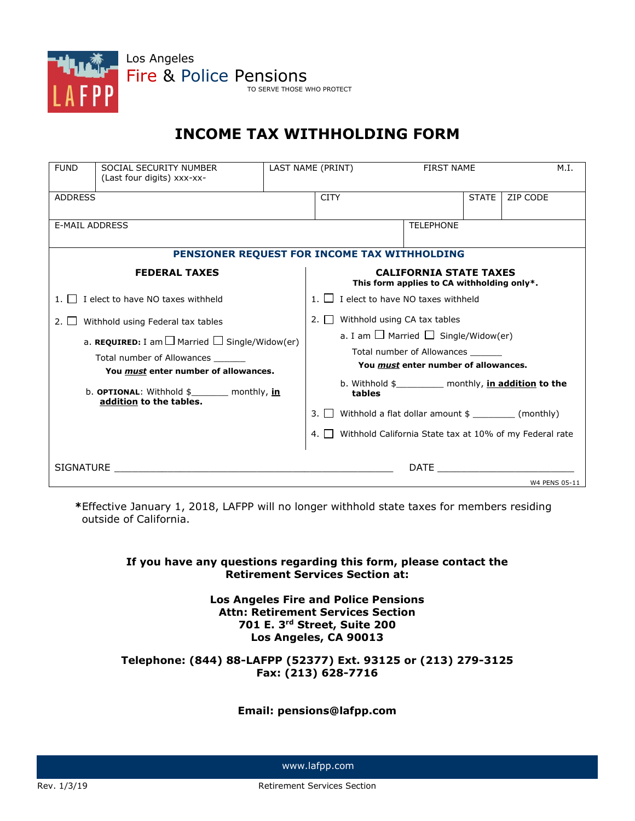

# **INCOME TAX WITHHOLDING FORM**

| <b>FUND</b>                                                                            | SOCIAL SECURITY NUMBER<br>(Last four digits) xxx-xx-                    |                                      | LAST NAME (PRINT)                                                           |                                                                         |  | <b>FIRST NAME</b> |          | M.I.          |
|----------------------------------------------------------------------------------------|-------------------------------------------------------------------------|--------------------------------------|-----------------------------------------------------------------------------|-------------------------------------------------------------------------|--|-------------------|----------|---------------|
| <b>ADDRESS</b>                                                                         |                                                                         |                                      | <b>CITY</b>                                                                 |                                                                         |  | <b>STATE</b>      | ZIP CODE |               |
| <b>E-MAIL ADDRESS</b>                                                                  |                                                                         |                                      | <b>TELEPHONE</b>                                                            |                                                                         |  |                   |          |               |
| PENSIONER REQUEST FOR INCOME TAX WITHHOLDING                                           |                                                                         |                                      |                                                                             |                                                                         |  |                   |          |               |
| <b>FEDERAL TAXES</b>                                                                   |                                                                         |                                      | <b>CALIFORNIA STATE TAXES</b><br>This form applies to CA withholding only*. |                                                                         |  |                   |          |               |
| 1.     I elect to have NO taxes withheld                                               |                                                                         |                                      | 1. $\Box$ I elect to have NO taxes withheld                                 |                                                                         |  |                   |          |               |
| Withhold using Federal tax tables<br>2.11                                              |                                                                         |                                      | 2. $\Box$ Withhold using CA tax tables                                      |                                                                         |  |                   |          |               |
| a. REQUIRED: I am $\Box$ Married $\Box$ Single/Widow(er)<br>Total number of Allowances |                                                                         |                                      | a. I am $\Box$ Married $\Box$ Single/Widow(er)                              |                                                                         |  |                   |          |               |
|                                                                                        |                                                                         |                                      | Total number of Allowances                                                  |                                                                         |  |                   |          |               |
| You must enter number of allowances.                                                   |                                                                         | You must enter number of allowances. |                                                                             |                                                                         |  |                   |          |               |
|                                                                                        | b. OPTIONAL: Withhold \$________ monthly, in<br>addition to the tables. |                                      |                                                                             | b. Withhold \$____________ monthly, <i>in addition</i> to the<br>tables |  |                   |          |               |
|                                                                                        |                                                                         |                                      | Withhold a flat dollar amount \$ ___________ (monthly)<br>3.1 <sub>1</sub>  |                                                                         |  |                   |          |               |
|                                                                                        |                                                                         |                                      | 4. Withhold California State tax at 10% of my Federal rate                  |                                                                         |  |                   |          |               |
| SIGNATURE <b>SIGNATURE</b>                                                             |                                                                         |                                      | DATE <b>DATE</b>                                                            |                                                                         |  |                   |          |               |
|                                                                                        |                                                                         |                                      |                                                                             |                                                                         |  |                   |          | W4 PENS 05-11 |

**\***Effective January 1, 2018, LAFPP will no longer withhold state taxes for members residing outside of California.

#### **If you have any questions regarding this form, please contact the Retirement Services Section at:**

**Los Angeles Fire and Police Pensions Attn: Retirement Services Section 701 E. 3rd Street, Suite 200 Los Angeles, CA 90013**

#### **Telephone: (844) 88-LAFPP (52377) Ext. 93125 or (213) 279-3125 Fax: (213) 628-7716**

#### **Email: pensions@lafpp.com**

www.lafpp.com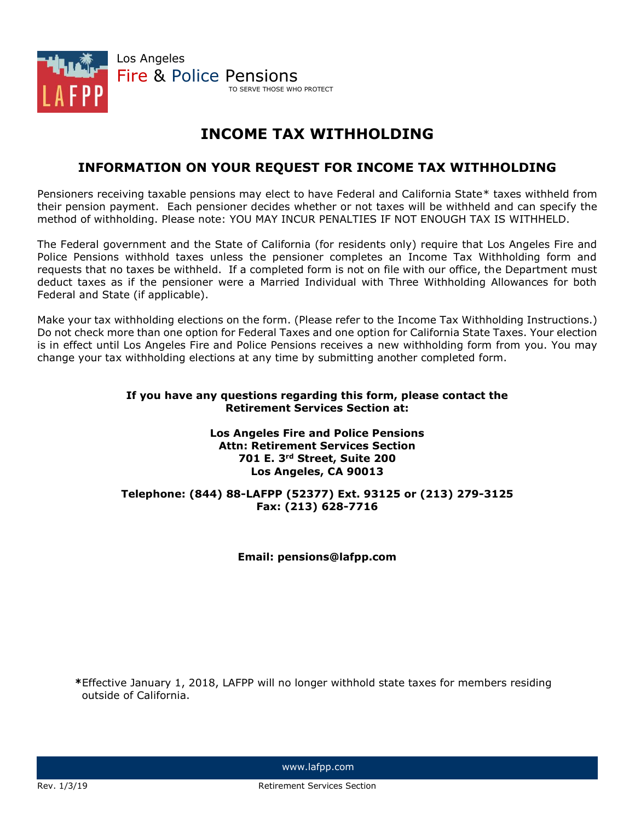

## **INCOME TAX WITHHOLDING**

## **INFORMATION ON YOUR REQUEST FOR INCOME TAX WITHHOLDING**

Pensioners receiving taxable pensions may elect to have Federal and California State\* taxes withheld from their pension payment. Each pensioner decides whether or not taxes will be withheld and can specify the method of withholding. Please note: YOU MAY INCUR PENALTIES IF NOT ENOUGH TAX IS WITHHELD.

The Federal government and the State of California (for residents only) require that Los Angeles Fire and Police Pensions withhold taxes unless the pensioner completes an Income Tax Withholding form and requests that no taxes be withheld. If a completed form is not on file with our office, the Department must deduct taxes as if the pensioner were a Married Individual with Three Withholding Allowances for both Federal and State (if applicable).

Make your tax withholding elections on the form. (Please refer to the Income Tax Withholding Instructions.) Do not check more than one option for Federal Taxes and one option for California State Taxes. Your election is in effect until Los Angeles Fire and Police Pensions receives a new withholding form from you. You may change your tax withholding elections at any time by submitting another completed form.

#### **If you have any questions regarding this form, please contact the Retirement Services Section at:**

#### **Los Angeles Fire and Police Pensions Attn: Retirement Services Section 701 E. 3rd Street, Suite 200 Los Angeles, CA 90013**

#### **Telephone: (844) 88-LAFPP (52377) Ext. 93125 or (213) 279-3125 Fax: (213) 628-7716**

#### **Email: pensions@lafpp.com**

**\***Effective January 1, 2018, LAFPP will no longer withhold state taxes for members residing outside of California.

www.lafpp.com

Rev. 1/3/19 **Review Services Section** Retirement Services Section